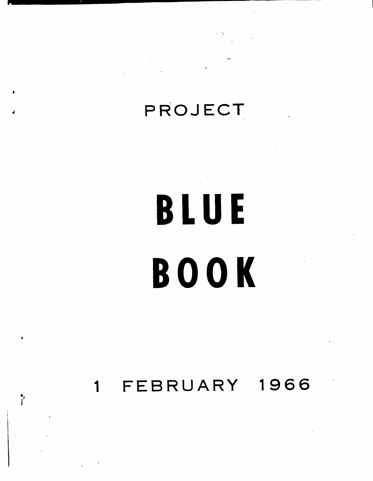# PROJECT

# BLUE BOOK

## FEBRUARY 1966

 $\ddot{\phantom{a}}$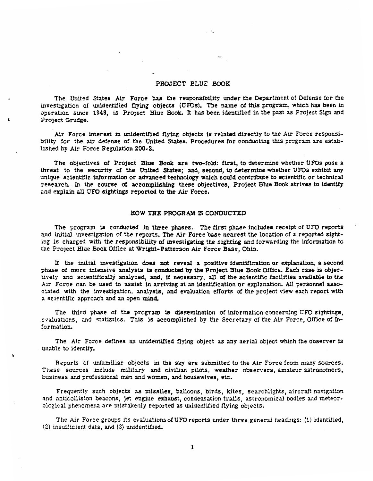#### PROJECT BLUE BOOK

The United States Air Force has the responsibility under the Department of Defense for the investigation of unidentified flying objects (UFOs). The name of this program, which has been in operation since 1948, is Project Blue Book. It has been identified in the past as Project Sign and Project Grudge.

Air Force interest in unidentified flying objects is related directly to the Air Force responsibility for the air defense of the United States. Procedures for conducting this program are established by Air Force Regulation 200-2.

The objectives of Project Blue Book are two-fold: first, to determine whether UFOs pose a threat to the security of the United States; and, second, to determine whether UFOs exhibit any unique scientific information or advanced technology which could contribute to scientific or technical research. In the course of accomplishing these objectives, Project Blue Book strives to identify and explain all UFO sightings reported to the Air Force.

#### HOW THE PROGRAM IS CONDUCTED

The program is conducted in three phases. The first phase includes receipt of UFO reports and initial investigation of the reports. The Air Force base nearest the location of a reported sighting is charged with the responsibility of investigating the sighting and forwarding the information to the Project Blue Book Office at Wright-Patterson Air Force Base, Ohio.

If the initial investigation does not reveal a positive identification or explanation, a second phase of more intensive analysis is conducted by the Project Blue Book Office. Each case is objectively and scientifically analyzed, and, if necessary, all of the scientific facilities available to the Air Force can be used to assist in arriving at an identification or explanation. All personnel associated with the investigation, analysis, and evaluation efforts of the project view each report with a scientific approach and an open mind.

The third phase of the program is dissemination of information concerning UFO sightings, .evaluations, and statistics. This is accomplished by the Secretary of the Air Force, Office of Information.

The Air Force defines an unidentified flying object as any aerial object which the observer is unable to identify.

..

Reports of unfamiliar objects in the sky are submitted to the Air Force from many sources. These sources include military and civilian pilots, weather observers, amateur astronomers, business and professional men and women, and housewives, etc.

Frequently such objects as missiles, balloons, birds, kites, searchlights, aircraft navigation and anticollision beacons, jet engine exhaust, condensation trails, astronomical bodies and meteorological phenomena are mistakenly reported as unidentified flying objects.

The Air Force groups its evaluations of UFO reports under three general headings: (1) identified, (2) insufficient data, and (3) unidentified.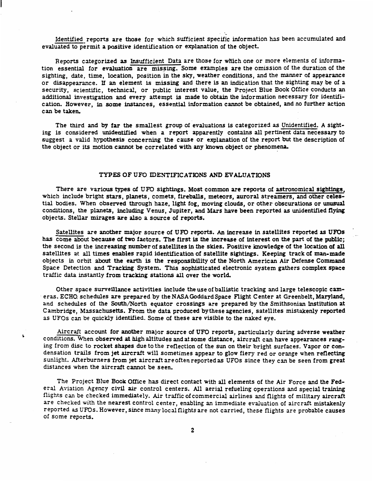Identified reports are those for which sufficient specific information has been accumulated and evaluated to permit a positive identification or explanation of the object.

Reports categorized as Insufficient Data are those for which one or more elements of information essential for evaluation are missing. Some examples are the omission of the duration of the sighting, date, time, location, position in the sky, weather conditions, and the marmer of appearance or disappearance. If an element is missing and there is an indication that the sighting may be of a security, scientific, technical, or public interest value, the Project Blue Book Office conducts an additional investigation and every attempt is made to obtain the information necessary for identification. However, in some instances, essential information cannot be obtained, and no further action can be taken.

The third and by far the smallest group of evaluations is categorized as Unidentified. A sighting is considered unidentified when a report apparently contains all pertinent data necessary to suggest a valid hypothesis concerning the cause or explanation of the report but the description of the object or its motion cannot be correlated with any lmown object or phenomena.

#### TYPES OF UFO IDENTIFICATIONS AND EVALUATIONS

There are various types of UFO sightings. Most common are reports of astronomical sightings, which include bright stars, planets, comets, fireballs, meteors, auroral streamers, and other celestial bodies. When observed through haze, light fog, moving clouds, or other obscurations or unusual conditions, the planets, including Venus, Jupiter, and Mars have been reported as unidentified fiying objects. Stellar mirages are also a source of reports.

Satellites are another major source of UFO reports. An increase in satellites reported as UFOs has come about because of two factors. The first is the increase of interest on the part of the public; the second is the increasing number of satellites in the skies. Positive knowledge of the location of all satellites at all times enables rapid identification of satellite sightings. Keeping track of man-made objects in orbit about the earth is the responsibility of the North American Air Defense Command Space Detection and Tracking System. This sophisticated electronic system gathers complex space traffic data instantly from tracking stations all over the world.

Other space surveillance activities include the use of ballistic tracking and large telescopic cam- . eras. ECHO. schedules are prepared by theNASAGoddardSpace Flight Center at Greenbelt, Maryland, and schedules of the South/North equator crossings are prepared by the Smithsonian Institution at Cambridge, Massachusetts. From the data produced by these agencies, satellites mistakenly reported as UFOs can be quickly identified. Some of these are visible to the naked eye.

Aircraft account for another major source of UFO reports, particularly during adverse weather conditions. When observed at high altitudes and at some distance, aircraft can have appearances ranging from disc to rocket shapes due to the reflection of the sun on their bright surfaces. Vapor or condensation trails from jet aircraft will sometimes appear to glow fiery red or orange when reflecting sunlight. Afterburners from jet aircraft are often reported as UFOs since they can be seen from great distances when the aircraft cannot be seen.

The Project Blue Book Office has direct contact with all elements of the Air Force and the Federal Aviation Agency civil air control centers. All aerial refueling operations and special training flights can be checked immediately. Air traffic of commercial airlines and flights of military aircraft are checked with the nearest control center, enabling an immediate evaluation of aircraft mistakenly reported as UFOs. However, since many local flights are not carried, these flights are probable causes of some reports.

2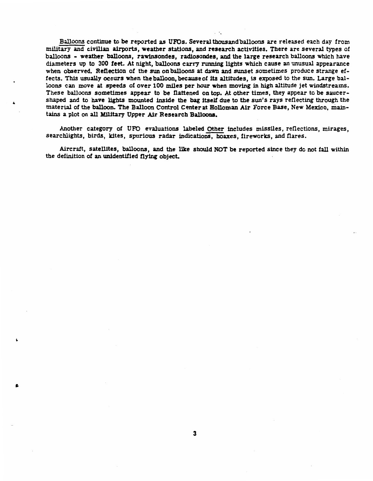Balloons continue to be reported as UFOs. Several thousand balloons are released each day from military and civilian airports, weather stations, and research activities. There are several types of balloons - weather balloons, rawinsondes, radiosondes, and the large research balloons which have diameters up to 300 feet. At night, balloons carry running lights which cause an unusual appearance when observed. Reflection of the sun on balloons at dawn and sunset sometimes produce strange effects. This usually occurs when the balloon, because of its altitudes, is exposed to the sun. Large balloons can move at speeds of over 100 miles per hour when moving in high altitude jet windstreams. These balloons sometimes appear to be flattened on top. At other times, they appear to be saucershaped and to have lights mounted inside the bag itself due to the sun's rays reflecting through the material of the balloon. The Balloon Control Center at Holloman Air Force Base, New Mexico, maintains a plot on all Military Upper Air Research Balloons.

Another category of UFO evaluations labeled Other includes missiles, reflections, mirages, searchlights, birds, kites, spurious radar indications, hoaxes, fireworks, and flares.

Aircraft, satellites, balloons, and the like should NOT be reported since they do not fall within the definition of an unidentified fiying object.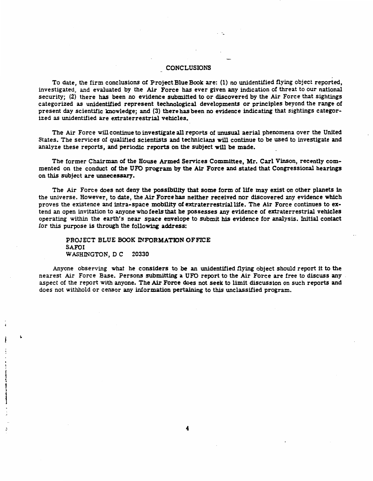#### CONCLUSIONS

To date, the firm conclusions of Project Blue Book are: (1) no unidentified flying object reported, investigated, and evaluated by the Air Force has ever given any indication of threat to our national security; (2) there has been no evidence submitted to or discovered by the Air Force that sightings categorized as unidentified represent technological developments or principles beyond the range of present day scientific knowledge; and (3) there has been no evidence indicating that sightings categorized as unidentified are extraterrestrial vehicles.

The Air Force will continue to investigate all reports of unusual aerial phenomena over the United States. The services of qualified scientists and technicians will continue to be used to investigate and analyze these reports, and periodic reports on the subject will be made.

The former Chairman of the House Armed Services Committee, Mr. Carl Vinson, recently commented on the conduct of the UFO program by the Air Force and stated that Congressional hearings on this subject are unnecessary.

The Air Force does not deny the possibility that some form of life may exist on other planets in the universe. However, to date, the Air Foree has neither received nor discovered any evidence which proves the existence and intra-space mobility of extraterrestrial life. The Air Force continues to extend an open invitation to anyone who feels that he possesses any evidence of extraterrestrial vehicles operating within the earth's near space envelope to submit bis evidence for analysis. Initial contact for this purpose is through the following address:

PROJECT BLUE BOOK INFORMATION OFFICE SAFOI WASHINGTON, D C 20330

Anyone observing what he considers to be an unidentified flying object should report it to the nearest Air Force Base. Persons submitting a UFO report to the Air Force are free to discuss any aspect of the report with anyone. The Air Foree does not seek to limit discussion on such reports and does not withhold or censor any information pertaining to this unclassified program.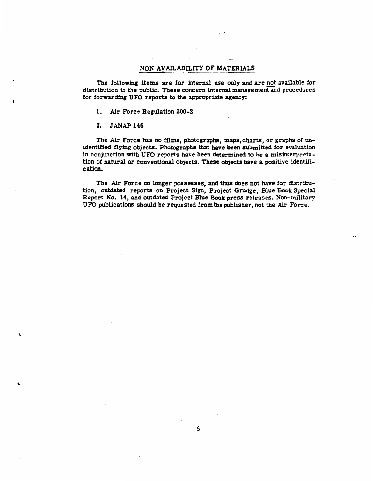#### NON AVAILABILITY OF MATERIALS

The following items are for internal use only and are not available for distribution to the public. These concern internal management and procedures for forwarding UFO reports to the appropriate agency:

#### 1. Air Force Regulation 200-2

#### 2. JANAP 146

The Air Force has no films, photographs, maps, charts, or graphs of unidentified fiying objects. Photographs that have been submitted for evaluation in conjunction with UFO reports have been determined to be a misinterpretation of natural or conventional objects. These objects bave a positive identification.

The Air Force no longer possesses, and thus does not have for distribution, outdated reports on Project Sign, Project Grudge, Blue Book Special Report No. 14, and outdated Project Blue Book press releases. Non-military UFO publications should be requested from the publisher, not the Air Force.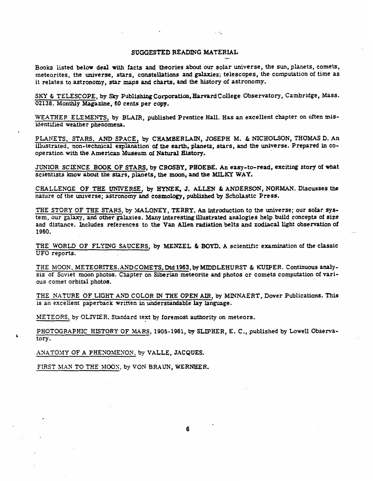#### SUGGESTED READING MATERIAL

Books listed below deal with facts and theories about our solar universe, the sun, planets, comets, meteorites, the universe, stars, constellations and galaxies; telescopes, the computation of time as it relates to astronomy, star maps and charts, and the history of astronomy.

SKY & TELESCOPE, by Sky Publishing Corporation, Harvard College Observatory, Cambridge, Mass. 02138. Monthly Magazine, 60 cents per copy.

WEATHER ELEMENTS, by BLAIR, published Prentice Hall. Has an excellent chapter on often misidentified weather phenomena.

PLANETS, STARS, AND SPACE, by CHAMBERLAIN, JOSEPH M. & NICHOLSON, THOMAS D. An illustrated, non-technical explanation of the earth, planets, stars, and the universe. Prepared in cooperation with the American Museum of Natural History. ·

JUNIOR SCIENCE BOOK OF STARS, by CROSBY, PHOEBE. An easy-to-read, exciting story of what scientists know about the stars, planets, the moon, and the MILKY WAY.

CHALLENGE OF THE UNIVERSE, by HYNEK, J. ALLEN & ANDERSON, NORMAN. Discusses the nature of the universe; astronomy and cosmology, published by Scholastic Press.

THE STORY OF THE STARS, by MALONEY, TERRY. An introduction to the universe; our solar system, our galaxy, and other galaxies. Many interesting illustrated analogies help build concepts of size and distance. Includes references to the Van Allen radiation belts and zodiacal light observation of 1960.

THE WORLD OF FLYING SAUCERS, by MENZEL & BOYD. A scientific examination of the classic UFO reports.

THE MOON, METEORITES. AND COMETS, Dtd 1963, by MIDDLEHURST & KUIPER. Continuous analysis of Soviet moon photos. Chapter on Siberian meteorite and photos or comets computation of various comet orbital photos.

THE NATURE OF LIGHT AND COLOR IN THE OPEN AIR, by MINNAERT, Dover Publications. This is an excellent paperback written in understandable lay language.

METEORS, by OLIVIER. Standard text by foremost authority on meteors.

PHOTOGRAPHIC HISTORY OF MARS, 1905-1961, by SLIPHER, E. C., published by Lowell Observatory.

ANATOMY OF A PHENOMENON, by VALLE, JACQUES.

FIRST MAN TO THE MOON, by VON BRAUN, WERNHER.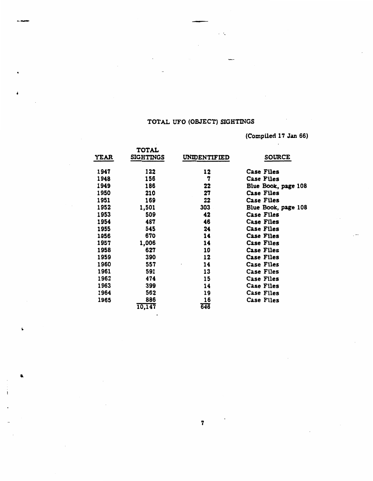## TOTAL UFO (OBJECT) SIGHTINGS

### (Compiled 17 Jan 66)

| <b>TOTAL</b>     |              |                     |
|------------------|--------------|---------------------|
| <b>SIGHTINGS</b> | UNIDENTIFIED | <b>SOURCE</b>       |
| 122              | 12           | <b>Case Files</b>   |
| 156              | 7            | Case Files          |
| 186              | 22           | Blue Book, page 108 |
| 210              | 27           | Case Files          |
| 169              | 22           | <b>Case Files</b>   |
|                  | 303          | Blue Book, page 108 |
| 509              | 42           | Case Files          |
| 487              | 46           | Case Files          |
| 545              | 24           | <b>Case Files</b>   |
| 670              | 14           | Case Files          |
| 1,006            | 14           | <b>Case Files</b>   |
| 627              | 10           | Case Files          |
| 390              | 12           | Case Files          |
| 557              | 14           | Case Files          |
| 591              | 13           | <b>Case Files</b>   |
| 474              | 15           | <b>Case Files</b>   |
| 399              | 14           | Case Files          |
| 562              | 19           | <b>Case Files</b>   |
| 886              | 16           | <b>Case Files</b>   |
| 10,147           | 646          |                     |
|                  | 1,501        |                     |

7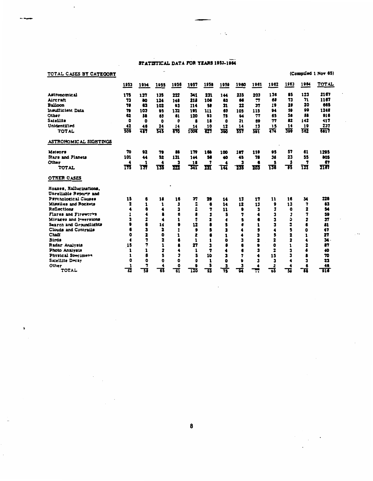#### STATISTICAL DATA FOR YEARS 1953-1964

 $\hat{\mathcal{L}}$   $\hat{\mathcal{L}}$ 

#### TOTAL CASES BY CATEGORY

 $\mathbf{L}$ 

(Compiled 1 Nov 65)

|                             | 1953 | 1954 | 1955      | 1956 | 1957 | 1958 | 1959                    | 1960 | 1961 | 1962 | 1963 | 1984 | <b>TOTAL</b>      |
|-----------------------------|------|------|-----------|------|------|------|-------------------------|------|------|------|------|------|-------------------|
| <b>Astronomical</b>         | 175  | 137  | 135       | 222  | 341  | 231  | 144                     | 235  | 203  | 136  | 85   | 123  | 2167              |
| Aircraft                    | 73   | 80   | 124       | 148  | 218  | 106  | 63                      | 66   | 7    | 68   | 73   | 71   | 1167              |
| <b>Balloon</b>              | 78   | 63   | 102       | 93   | 114  | 58   | 31                      | 22   | 37   | 19   | 28   | 20   | 665               |
| Insufficient Data           | 79   | 103  | 95        | 132  | 191  | 111  | 65                      | 105  | 115  | 94   | 59   | 99   | 1248              |
| Other                       | 62   | 58   | 65        | 61   | 120  | 93   | 75                      | 94   | 77   | 65   | 58   | 88   | 916               |
| Satellite                   | o    | O    | O         | O    | 1    | 18   | O                       | 21   | 69   | 77   | 82   | 142  | 417               |
| Unidentified                | 42   | 46   | 24        | 14   | 14   | 10   | 12                      | 14   | 13   | 15   | 14   | 19   | 237               |
| TOTAL                       | 509  | 487  | 543       | 776  | 1006 | 627  | 300                     | 337  | छा   | T74  | 390  | 582  | $\overline{6617}$ |
| ASTRONOMICAL SIGHTINGS      |      |      |           |      |      |      |                         |      |      |      |      |      |                   |
| Meteors                     | 70   | 92   | 79        | 88   | 179  | 168  | 100                     | 187  | 119  | 95   | 57   | 61   | 1295              |
| <b>Stars and Planets</b>    | 101  | 44   | 52        | 131  | 144  | 56   | 40                      | 45   | 78   | 36   | 23   | 55   | 805               |
| <b>Other</b>                | 4    | 1    | 4         | з    | 18   | 7    |                         | з    | 6    | s    |      | 7    | 67                |
| <b>TOTAL</b>                | 175  | 137  | 135       | 222  | 341  | 231  | 14                      | 235  | 203  | 136  | 73   | 123  | 2167              |
| OTHER CASES                 |      |      |           |      |      |      |                         |      |      |      |      |      |                   |
| Hoaxes, Hallucinations,     |      |      |           |      |      |      |                         |      |      |      |      |      |                   |
| Unreliable Reports and      |      |      |           |      |      |      |                         |      |      |      |      |      |                   |
| <b>Psychological Causes</b> | 15   | 6    | 18        | 16   | 37   | 29   | 14                      | 13   | 17   | 11   | 16   | 34   | 226               |
| <b>Missiles and Rockets</b> |      |      | 1         | 3    | ፡    | 6    | 14                      | 12   | 13   | 9    | 13   | 7    | 83                |
| Reflections                 |      |      |           | 3    | 2    | 7    | 11                      | 9    | 3    |      | ٥    | 2    | 54                |
| Flares and Fireworks        |      |      |           | 6    | 8    | 3    | 5                       |      |      |      | 3    | 7    | 59                |
| Mirages and Prersions       |      | 2    | 4         | 1    | ŧ    | 2    |                         |      |      |      | G    |      | 37                |
| Search and Groundlights     |      | ß    | 14        | 9    | 12   |      |                         |      |      |      |      |      | 81                |
| Clouds and Contrails        |      | 2    | 2         | 1    | 9    |      | 1                       |      | s    |      |      | ٥    | 47                |
| Chaff                       |      | 2    | $\bullet$ | 1    | 2    |      |                         |      | 3    |      |      |      | 27                |
| <b>Birds</b>                |      | 7    | 2         |      | 1    |      | ٥                       |      | 2    | 2    |      |      | 34                |
| Radar Analysis              | 15   |      | 1         |      | 27   | 3    |                         |      | 9    | ٥    |      |      | 87                |
| Photo Analysis              |      |      | 2         |      | 1    | 7    |                         |      | 3    | 2    |      |      | 40                |
| Physical Specimens          |      | 6    | s         | 3    | 5    | 10   | 1                       | 7    |      | 15   |      |      | 70                |
| Satellite Decay             |      | ٥    | o         | o    | ٥    | 1    | ٥                       | ۰    | 3    | 3    |      |      | 23                |
| Other                       |      |      |           |      | 9    | s    | 3                       | 3    |      | 2    |      |      | 48                |
| TOTAL                       | 62   | 38   | 65        | 61   | 120  | 丽    | $\overline{\mathbf{z}}$ | ब्र  | Ŧ    | 73   | -33  | П    | $\overline{916}$  |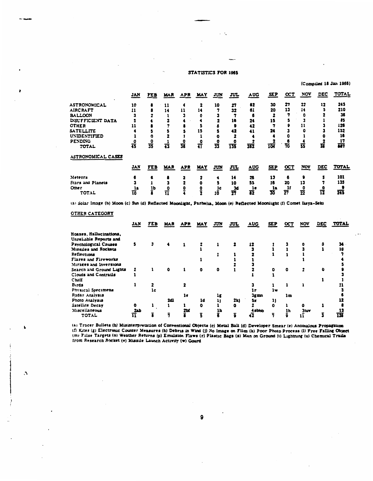#### STATISTICS FOR 1965

 $\ddot{\phantom{1}}$ 

| FEB | MAR | <b>APR</b> | <b>MAY</b> | JUN | JUL | <b>AUG</b> | SEP | OСТ | NOV | <b>DEC</b> | TOTAL |
|-----|-----|------------|------------|-----|-----|------------|-----|-----|-----|------------|-------|
|     | 11  |            |            | 10  | 27  | 82         | 30  | 27  | 22  | 12         | 245   |
|     | 14  | IJ         | ĸ          |     | 32  | 61         | 20  | 13  | 14  |            | 210   |
|     |     |            |            |     |     |            |     |     | 0   |            | 36    |
|     |     |            |            |     | 16  | 24         | 15  |     |     |            | 85    |
|     |     |            |            |     |     | 42         |     | ۰   |     |            | 126   |
|     |     |            | 15         |     | 42  | 41         | 24  |     | ο   |            | 152   |
|     |     |            |            |     |     |            |     | o   |     |            | 16    |
| a   |     |            |            | o   |     |            |     |     |     |            |       |
| 35  |     | 38         |            |     | 135 | 262        | ١Ō  | 70  | 55  |            |       |

(Compiled 18 Jan 1966)

ASTRONOMICAL CASES

ASTRONOMICAL

**INSUFFICIENT DATA** 

**AIRCRAFT** 

**BALLOON** 

SATELLITE

PENDING TOTAL

UNIDENTIFIED

**OTHER** 

**JAN** 

10

 $\overline{\mathbf{u}}$ 

 $\mathbf 3$ 

 $\pmb{\mathsf{s}}$ 

 $\overline{\mathbf{u}}$ 

 $\ddot{\bullet}$ 

 $\pmb{1}$  $\frac{0}{45}$ 

|                   | <b>JAN</b>         | <b>FEB</b>    | <b>MAR</b> | <b>APR</b> | <b>MAY</b> | JUN | JUL                                                                       | <b>AUG</b>     | <b>SEP</b>                    | OCT | NOV            | <b>DEC</b> | TOTAL           |
|-------------------|--------------------|---------------|------------|------------|------------|-----|---------------------------------------------------------------------------|----------------|-------------------------------|-----|----------------|------------|-----------------|
| Meteors           |                    |               |            |            |            |     | 14                                                                        | 26             | 13                            |     |                |            | 101             |
| Stars and Planets |                    |               |            |            |            |     | 10                                                                        | 55             | 16                            | 20  | 13             |            | 135             |
| Other<br>TOTAL    | $\mathbf{a}$<br>10 | $\frac{1}{8}$ |            |            |            |     | $\frac{0}{11}$ $\frac{0}{4}$ $\frac{0}{2}$ $\frac{1}{10}$ $\frac{34}{27}$ | $\frac{1}{62}$ | $\frac{1}{30}$ $\frac{1}{27}$ |     | $\frac{0}{22}$ | 12         | $\frac{9}{245}$ |

(1) Solar Image (b) Moon (c) Sun (d) Reflected Moonlight, Parhelia, Moon (e) Reflected Moonlight (f) Comet Ikeya-Seki

#### OTHER CATEGORY

ł.

ς,

|                          | JAN | FEB | <b>MAR</b> | <b>APR</b> | <b>MAY</b> | JUN | JUL | <b>AUG</b> | <b>SEP</b> | OCT | <b>NOV</b> | DEC | TOTAL |
|--------------------------|-----|-----|------------|------------|------------|-----|-----|------------|------------|-----|------------|-----|-------|
| Hoaxes, Hallucinations,  |     |     |            |            |            |     |     |            |            |     |            |     |       |
| Unreliable Reports and   |     |     |            |            |            |     |     |            |            |     |            |     |       |
| Psychological Causes     | 5   |     |            |            |            |     |     | 12         |            |     |            |     | 34.   |
| Missiles and Rockets     |     |     |            |            |            |     |     |            |            |     |            |     | 10    |
| Reflections              |     |     |            |            |            |     |     |            |            |     |            |     |       |
| Flares and Fireworks     |     |     |            |            |            |     |     |            |            |     |            |     |       |
| Mirages and Inversions   |     |     |            |            |            |     |     |            |            |     |            |     |       |
| Search and Ground Lights |     |     |            |            | o          | o   |     |            | O          | o   |            |     |       |
| Clouds and Contrails     |     |     |            |            |            |     |     |            |            |     |            |     |       |
| Chaff                    |     |     |            |            |            |     |     |            |            |     |            |     |       |
| Birds                    |     |     |            |            |            |     |     |            |            |     |            |     |       |
| Physical Specimens       |     | lc  |            |            |            |     |     | 1r         | ıw         |     |            |     |       |
| Radar Analysis           |     |     |            | 1e         |            |     |     | 3gmn       |            | 1m  |            |     |       |
| Photo Analysis           |     |     | 241        |            | 1d         | u   | 2kj | 5x         | 11         |     |            |     |       |
| Satellite Decay          | ۰   |     |            |            | o          |     | ٥   | 2          | O          |     |            |     |       |
| Miscellaneous            | 22b |     |            | 2Ы         |            | 11  |     | 4 sbbb     |            | ıħ  | 3tuv       |     |       |
| TOTAL                    | π   |     |            |            |            |     |     | 42         |            |     |            |     | 126   |

(a) Tracer Bullets (b) Misinterpretation of Conventional Objects (c) Metal Ball (d) Developer Smear (e) Anomalous Propagation (f) Kites (g) Electronic Counter Measures (h) Debris in Wind (j) No Image on Film (k) Poor Photo Process (l) Free Falling Object (m) False Targets (n) Weather Returns (p) Emulsion Flaws (r) Plastic Bags (s) Man on Ground (t) Lightning (u) Chemical Trails from Research Rocket (v) Missile Launch Activity (w) Gourd

9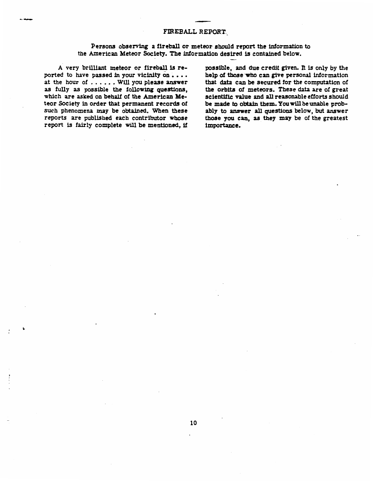#### FIREBALL REPORT-

Persons observing a fireball or meteor should report the information to the American Meteor Society. The information desired is contained below.

A very brilliant meteor or fireball 1s reported to have passed in your vicinity on  $\dots$ at the hour of ...... Will you please answer as fully as possible the following questions, which are asked on bebalf of the American Meteor Society in order that permanent records of such phenomena may be obtained. When these reports are published each contributor whose report is fairly complete will be mentioned, if possible, and due credit given. It is only by the help of those who can give personal information that data can be secured for the computation of the orbita of meteors. These data are of great scientific value and all reasonable efforts should be made to obtain them. You will be unable probably to answer all questions below, but answer those you can, as they may be of the greatest importance.